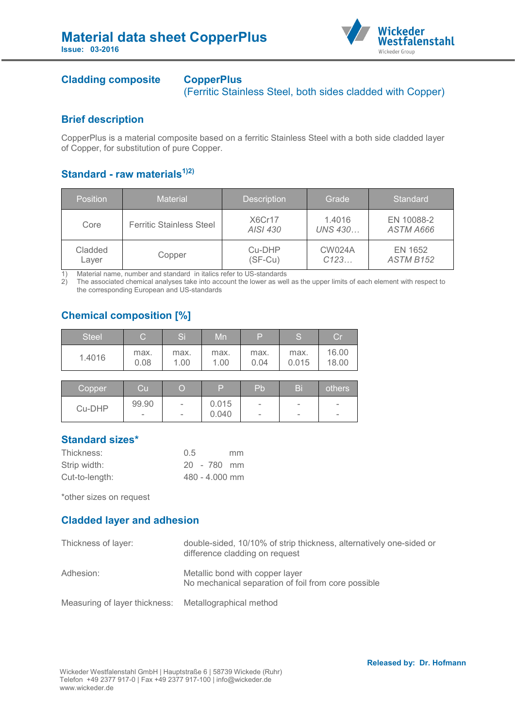

## **Cladding composite CopperPlus**

(Ferritic Stainless Steel, both sides cladded with Copper)

#### **Brief description**

CopperPlus is a material composite based on a ferritic Stainless Steel with a both side cladded layer of Copper, for substitution of pure Copper.

## **Standard - raw materials1)2)**

| Position         | <b>Material</b>                 | <b>Description</b>  | Grade                    | Standard                    |
|------------------|---------------------------------|---------------------|--------------------------|-----------------------------|
| Core             | <b>Ferritic Stainless Steel</b> | X6Cr17<br>AISI 430  | 1.4016<br><b>UNS 430</b> | EN 10088-2<br>ASTM A666     |
| Cladded<br>Laver | Copper                          | Cu-DHP<br>$(SF-Cu)$ | <b>CW024A</b><br>C123    | EN 1652<br><b>ASTM B152</b> |

1) Material name, number and standard in italics refer to US-standards<br>2) The associated chemical analyses take into account the lower as well

2) The associated chemical analyses take into account the lower as well as the upper limits of each element with respect to the corresponding European and US-standards

# **Chemical composition [%]**

| <b>Steel</b> | С            | Si           | Mn           | Þ            | S             | $\mathop{\rm Cr}\nolimits$ |
|--------------|--------------|--------------|--------------|--------------|---------------|----------------------------|
| 1.4016       | max.<br>0.08 | max.<br>1.00 | max.<br>1.00 | max.<br>0.04 | max.<br>0.015 | 16.00<br>18.00             |
|              |              |              |              |              |               |                            |
| _            | _            | _            | _            | __           | __            |                            |

| Copper | Cul    |                          | D     | <b>Pb</b>                | Bi                       | others                   |
|--------|--------|--------------------------|-------|--------------------------|--------------------------|--------------------------|
| Cu-DHP | 99.90  | $\overline{\phantom{m}}$ | 0.015 | $\overline{\phantom{a}}$ | $\overline{\phantom{a}}$ | $\overline{\phantom{m}}$ |
|        | $\sim$ | $\overline{\phantom{m}}$ | 0.040 | $\overline{\phantom{a}}$ | $\overline{\phantom{a}}$ | $\overline{\phantom{a}}$ |

## **Standard sizes\***

| Thickness:     | 0.5 |                  | mm. |
|----------------|-----|------------------|-----|
| Strip width:   |     | $20 - 780$ mm    |     |
| Cut-to-length: |     | $480 - 4.000$ mm |     |

\*other sizes on request

## **Cladded layer and adhesion**

| Thickness of layer:                                   | double-sided, 10/10% of strip thickness, alternatively one-sided or<br>difference cladding on request |
|-------------------------------------------------------|-------------------------------------------------------------------------------------------------------|
| Adhesion:                                             | Metallic bond with copper layer<br>No mechanical separation of foil from core possible                |
| Measuring of layer thickness: Metallographical method |                                                                                                       |